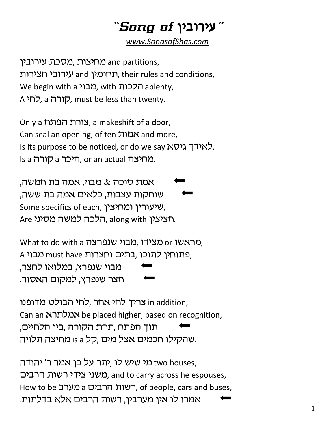## "צירובין *of ש*ירובין "

*www.SongsofShas.com*

מחיצות ,מסכת עירובין and partitions, תחומין and עירובי חצירות, their rules and conditions, We begin with a מבוי ,with הלכות, A הורה, a הורה, must be less than twenty.

Only a לורת הפתח, a makeshift of a door, Can seal an opening, of ten אמות and more, Is its purpose to be noticed, or do we say  $N\mathcal{D}$ , לאידך גיסא Is a היכר a קורה. or an actual מחיצה.

אמת סוכה  $\&$  מבוי, אמה בת חמשה, שוחקות עצבות, כלאים אמה בת ששה, Some specifics of each, שיעורין ומחיצין. Are הלכה למשה מסיני, along with h

Mhat to do with a מראשו or מצידו, מבוי שנפרצה, A פתוחין לתוכו, בתים וחצרות must han מבוי, מבוי שנפרץ, במלואו לחצר, חצר שנפרץ, למקום האסור.

ו צריך לחי אחר ,לחי הבולט מדופנו in addition, Can an אמלתרא be placed higher, based on recognition, תוך הפתח ,תחת הקורה ,בין הלחיים, שהקילו חכמים אצל מים ,קל is a מחיצה תלויה.

נא שיש לו ,יתר על כן אמר ר' יהודה two houses, משני צידי רשות הרבים, and to carry across he espouses, How to be רשות הרבים a מערב, of people, cars and buses, אמרו לו אין מערבין, רשות הרבים אלא בדלתות.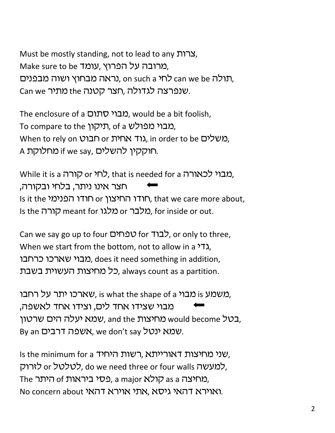Must be mostly standing, not to lead to any אברות, Make sure to be שרובה על הפרוץ, עומד, תולה can we be לחי on such a ,נראה מבחוץ ושוה מבפנים, Can we שנפרצה לגדולה, חצר קטנה the מתיר.

The enclosure of a *סבוי* סתום, would be a bit foolish, To compare to the תיקון, of a מבוי מפולש, When to rely on הבוט or האחית, in order to be משלים, A חוקקין להשלים, if we say מחלוקת.

While it is a קורה or לחי, that is needed for a מבוי לכאורה, חצר אינו ניתר, בלחי ובקורה, Is it the חודו המיצון or הודו החיצון, that we care more about, Is the *חורה* meant for מלבר or מלגו, for inside or out.

Can we say go up to four לבוד for לבוד), or only to three, When we start from the bottom, not to allow in a  $\lambda$ , מבוי שארכו כרחבו. does it need something in addition, ,כל מחיצות העשוית בשבת ,always count as a partition.

משמע is מבוי is s what the shape of a מבוי, is מארכו, מבוי שצידו אחד לים, וצידו אחד לאשפה, בטל would become מחיצות and the שמא יעלה הים שרטון. By an שמא ינטל, we don't say אשפה דרבים.

Is the minimum for a רשות היחיד, איני מחיצות דאורייתא. למעשה cr לטלטל, do we need three or four walls למעשה, The קולא ,a major כסי ביראות of מחיצה, No concern about ואוירא דהאי גיסא. אתי אוירא דהאג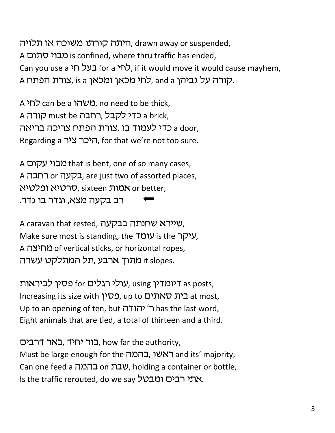היתה קורתו משוכה או תלויה, drawn away or suspended, A מבוי סתום is confined, where thru traffic has ended, Can you use a בעל חי for a לחי, if it would move it would cause mayhem, A קורה על גביהן and a ,לחי מכאן ומכאן is a, צורת הפתח.

A משהו can be a משהו במטה can be thick, A כדי לקבל, רחבה must be קורה A a door, כדי לעמוד בו ,צורת הפתח צריכה בריאה Regarding a היכר ציר, for that we're not too sure.

A מבוי עקום that is bent, one of so many cases, A בקעה or בקעה, are just two of assorted places, סרטיא ופלטיא, sixteen סמות, sixteen ס רב בקעה מצא, וגדר בו גדר.

A caravan that rested, שיירא שחנתה בבקעה, Make sure most is standing, the עומד, is the יעו A מחיצה of vertical sticks, or horizontal ropes, it slopes. מתוך ארבע, תל המתלקט עשרה

עולי רגלים for שפין לביראות, using וומדין, using w Increasing its size with בית סאתים, up to בית האתים Up to an opening of ten, but יהודה או ב' has the last word, Eight animals that are tied, a total of thirteen and a third.

בור יחיד, באר דרבים, how far the authority, Must be large enough for the ראשו, בהמה, וא $\lambda$  and its' majority, Can one feed a שבת on שבת, holding a container or bottle, Is the traffic rerouted, do we say אתי רבים ומבטל.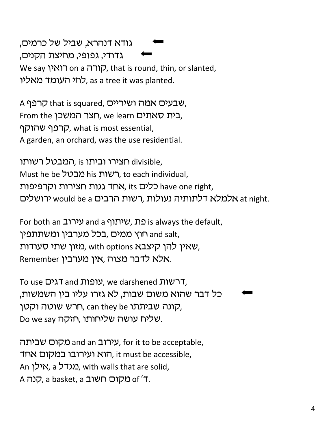גודא דנהרא, שביל של כרמים, גדודי, גפופי, מחיצת הקנים, We say קורה on a הורה, that is round, thin, or slanted, לחי העומד מאליו, as a tree it was planted.

A קרפף, that is squared, שבעים אמה ושיריים, From the רבית סאתים, we learn בית סאתים, קרפף שהוקף, what is most essential, A garden, an orchard, was the use residential.

חצירו וביתו is המבטל רשותו divisible, Must he be רשות his רשות, to each individual, כלים,its האחד גגות חצירות וקרפיפות have one right, ירושלים would be a האלמלא דלתותיה נעולות ,רשות הרבים would be a ירושלים

For both an עירוב and a נת, שיתוף is always the default, חוץ ממים ,בכל מערבין ומשתתפין and salt, שאין להן קיצבא with options ,שאין להן קיצבא, Remember אלא לדבר מצוה, אין מערבין.

To use רשות, we darshened הרשות, כל דבר שהוא משום שבות, לא גזרו עליו בין השמשות, הונה שביתתו can they be חרש שוטה וקטן, Do we say שליחותו, חזקה.

עירוב and an מקום שביתה, for it to be acceptable, הוא ועירובו במקום אחד, it must be accessible, An ומגדל, a אילן, with walls that are solid, A כוקום חשוב a basket, a קנה A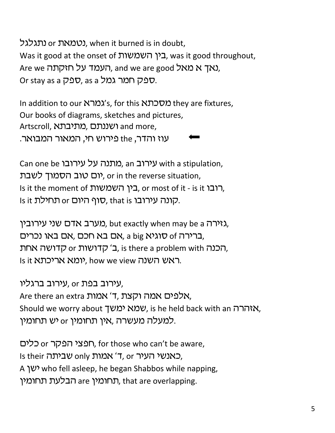נטמאת or נתגלגל, when it burned is in doubt, Was it good at the onset of בין השמשות, was it good throughout, Are we העמד על חזקתה. and we are good א מאל, **Or stay as a ספק חמר גמל or stay as a** 

In addition to our *k ומרא*'s, for this נאמרא they are fixtures, Our books of diagrams, sketches and pictures, Artscroll, מתיבתא and more, עוז והדר, the פירוש חי, המאור המבואר.

Can one be עירוב, an כמתנה על עירובו with a stipulation, יום טוב הסמוך לשבת), or in the reverse situation, Is it the moment of היבן השמשות or most of it - is it, Is it קונה עירובו t t ו, סוף היום or תחילת.

גזירה but exactly when may be a מערב אדם שני עירובין, ברירה of סוגיא a big, אם בא חכם, אם באו נכרים, הכנה גולופ or הלכנה, is there a problem with הב Is it ראש השנה או אריכתא, how we view ראש ה

עירוב בפת or עירוב ברגליו, Are there an extra אמה וקצת, "i, אלפים אמה ו Should we worry about *ימא ימ*שך, is he held back with an הרה, למעלה מעשרה ,אין תחומין or כ*וארומין.* 

חפצי הפקר or המקר, for those who can't be aware, Is their כאנשי העיר, or אמות only שביתה, A ישן who fell asleep, he began Shabbos while napping, תחומין are הבלעת תחומין, that are overlapping.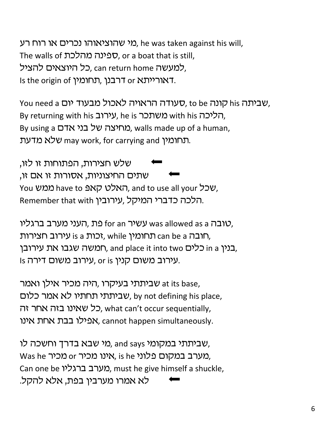מי שהוציאוהו נכרים או רוח רע $n$ , he was taken against his will, The walls of ספינה מהלכת, or a boat that is still, למעשה can return home כל היוצאים להציל, Is the origin of רבנן, תחומין. Is the origin of

You need a שביתה his קונה סט, to be שעודה הראויה לאכול מבעוד יום, By returning with his בותכר, he is תליכה, By using a מחיצה של בני אדם, walls made up of a human, תחומין may work, for carrying and שלא מדעת.

שלש חצירות, הפתוחות זו לזו, שתים החיצוניות, אסורות זו אם זו, You שכל have to קאפ האלט קאפ have to אים, and to use all your Remember that with יהלכה כדברי המיקל, עירובין.

טובה was allowed as a עשיר for an עשיר was allowed as a טובה, תחומין, while הרומין, while הרומין, can be a חובה, בנין in a כלים into two בנין המשה שגבו את עירובן, Is עירוב משום קנין. or is עירוב משום דירה.

שביתתי בעיקרו ,היה מכיר אילן ואמר at its base, שביתתי תחתיו לא אמר כלום, by not defining his place, כל שאינו בזה אחר זה, what can't occur sequentially, אפילו בבת אחת אינו, cannot happen simultaneously.

שביתתי במקומי and says מי שבא בדרך וחשכה לו, Was he מערב במקום פלוני, is he מכיר, Can one be מערב ברגליו, must he give himself a shuckle, לא אמרו מערבין בפת, אלא להקל.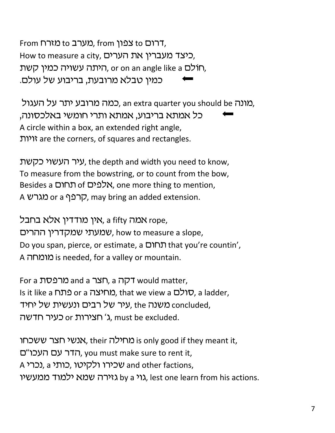From וית to כון from מערב to מזרח, How to measure a city, כיצד מעברין את הערים, היתה עשויה כמין קשת, or on an angle like a הלתה, כמין טבלא מרובעת, בריבוע של עולם.

מונה an extra quarter you should be כמה מרובע יתר על העגול, 'כל אמתא בריבוע, אמתא ותרי חומשי באלכסונה, A circle within a box, an extended right angle, ויות are the corners, of squares and rectangles.

עיר העשוי כקשת, the depth and width you need to know, To measure from the bowstring, or to count from the bow, Besides a תחום of אלפים, one more thing to mention, A קרפף or a קרפף, may bring an added extension.

אין מודדין אלא בחבל, a fifty אמה, rope, שמעתי שמקדרין ההרים, how to measure a slope, Do you span, pierce, or estimate, a חתרם that you're countin', A מומחה is needed, for a valley or mountain.

For a מרפסת and a תצר, a האר would matter, Is it like a סולם, that we view a טולם, a ladder, עיר של רבים ונעשית של יחיד, the ka עיר שמעה, the ר חצירות or ג' חצירות ג), must be excluded.

אנשי חצר ששכחו. their אנשי habt is only good if they meant it, הדר עם העכו"ם, you must make sure to rent it, A שכירו ולקיטו, a נכרי, a המכירו ולקיטו, a אכרי גוי אנא ילמוד ממעשיו, lest one learn from his actions.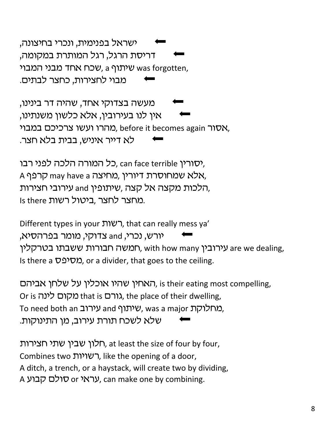ישראל בפנימית, ונכרי בחיצונה, דריסת הרגל, רגל המותרת במקומה, שכח אחד מבני המבוי was forgotten, מבוי לחצירות, כחצר לבתים.

מעשה בצדוקי אחד, שהיה דר בינינו, אין לנו בעירובין, אלא כלשון משנתינו, מהרו ועשו צרכיכם במבוי. before it becomes again האסור לא דייר איניש, בבית בלא חצר.

כל המורה הלכה לפני רבו, can face terrible *י*סורין, A אלא שמחוסרת דיורין, מחיצה may have a קרפף, הלכות מקצה אל קצה, שיתופין and עירובי חצירות, Is there במחצר לחצר, ביטול רשות

Different types in your רשות, that can really mess ya' יורש, נכרי, and צדוקי, מומר בפרהסיא, חמשה חבורות ששבתו בטרקלין, with how many הא Is there a  $\nabla$ יפ $\Omega$ , or a divider, that goes to the ceiling.

האחין שהיו אוכלין על שלחן אביהם, is their eating most compelling, Or is *מ*קום לינה. that is מהו $\lambda$ , the place of their dwelling, To need both an עירוב, was a major מחלוקת, שלא לשכח תורת עירוב, מן התינוקות.

חלון שבין שתי חצירות, at least the size of four by four, Combines two רשויות, like the opening of a door, A ditch, a trench, or a haystack, will create two by dividing, A עראי or געראי, can make one by combining.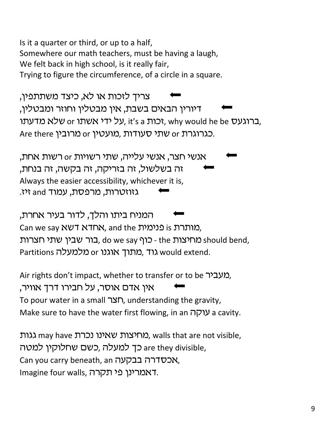Is it a quarter or third, or up to a half, Somewhere our math teachers, must be having a laugh, We felt back in high school, is it really fair, Trying to figure the circumference, of a circle in a square.

צריך לזכות או לא, כיצד משתתפין, דיורין הבאים בשבת, אין מבטלין וחוזר ומבטלין, ברוגעס or באגעל ידי אשתו, why would he be ברוגעס, Are there כגרוגרת or שתי סעודות, מועטין or הכגרוגרת.

אנשי חצר, אנשי עלייה, שתי רשויות ar רשות אחת, זה בשלשול, זה בזריקה, זה בקשה, זה בנחת, Always the easier accessibility, whichever it is, גזוזטרות, מרפסת, עמוד and זיז.

המניח ביתו והלך, לדור בעיר אחרת, Can we say NUT NTIN, and the כימית is נותרת, בור שבין שתי חצרות the כוף ,do we say .בור שבין שתי חצרות Partitions גוד, מתוך אוגנו or מלמעלה would extend.

Air rights don't impact, whether to transfer or to be "מעביר. אין אדם אוסר, על חבירו דרך אוויר, To pour water in a small רצה, understanding the gravity, Make sure to have the water first flowing, in an עוקה a cavity.

גות וגות, walls that are not visible, מחיצות שאינו נכרת, walls that are not visible, ch כך למעלה ,כשם שחלוקין למטה are they divisible, Can you carry beneath, an האכסדרה בבקעה, Imagine four walls, דאמרינן פי תקרה.